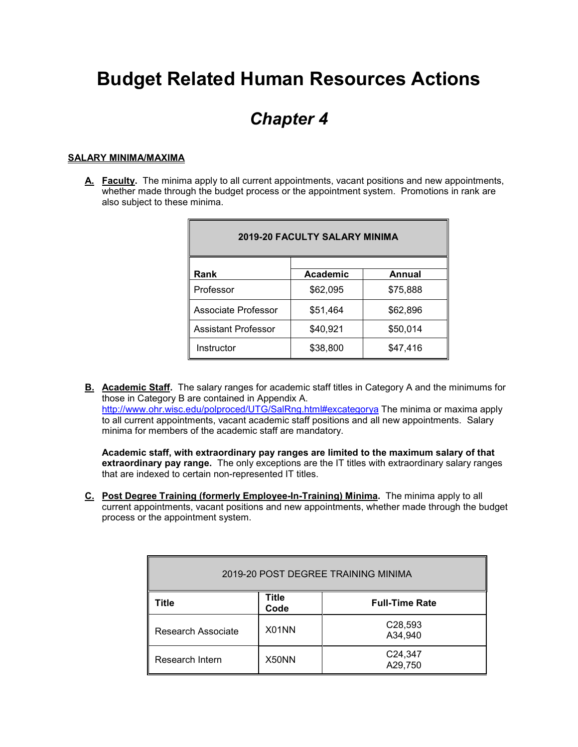# **Budget Related Human Resources Actions**

## *Chapter 4*

## **SALARY MINIMA/MAXIMA**

**A. Faculty.** The minima apply to all current appointments, vacant positions and new appointments, whether made through the budget process or the appointment system. Promotions in rank are also subject to these minima.

| <b>2019-20 FACULTY SALARY MINIMA</b> |                 |          |  |  |  |
|--------------------------------------|-----------------|----------|--|--|--|
| Rank                                 | <b>Academic</b> | Annual   |  |  |  |
| Professor                            | \$62,095        | \$75,888 |  |  |  |
| Associate Professor                  | \$51,464        | \$62,896 |  |  |  |
| Assistant Professor                  | \$40,921        | \$50,014 |  |  |  |
| Instructor                           | \$38,800        | \$47,416 |  |  |  |

**B. Academic Staff.** The salary ranges for academic staff titles in Category A and the minimums for those in Category B are contained in Appendix A. <http://www.ohr.wisc.edu/polproced/UTG/SalRng.html#excategorya> The minima or maxima apply to all current appointments, vacant academic staff positions and all new appointments. Salary minima for members of the academic staff are mandatory.

**Academic staff, with extraordinary pay ranges are limited to the maximum salary of that extraordinary pay range.** The only exceptions are the IT titles with extraordinary salary ranges that are indexed to certain non-represented IT titles.

**C. Post Degree Training (formerly Employee-In-Training) Minima.** The minima apply to all current appointments, vacant positions and new appointments, whether made through the budget process or the appointment system.

| 2019-20 POST DEGREE TRAINING MINIMA |               |                       |  |  |
|-------------------------------------|---------------|-----------------------|--|--|
| Title                               | Title<br>Code | <b>Full-Time Rate</b> |  |  |
| Research Associate                  | X01NN         | C28,593<br>A34,940    |  |  |
| Research Intern                     | X50NN         | C24,347<br>A29,750    |  |  |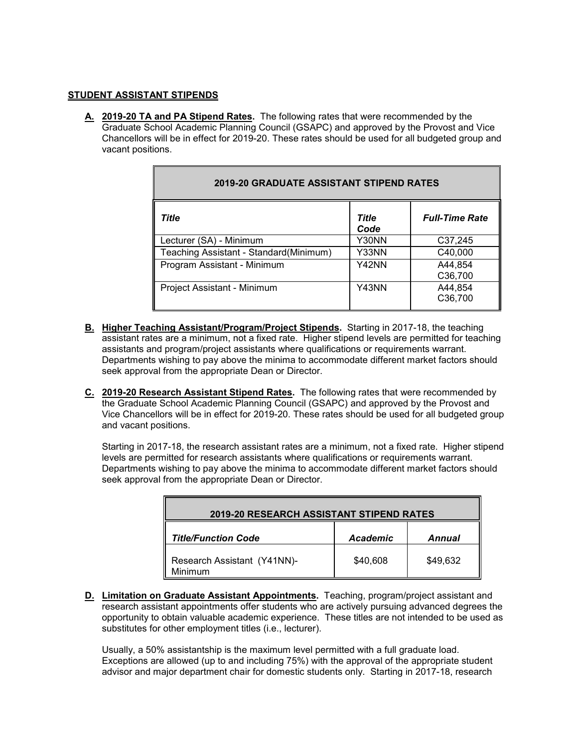## **STUDENT ASSISTANT STIPENDS**

**A. 2019-20 TA and PA Stipend Rates.** The following rates that were recommended by the Graduate School Academic Planning Council (GSAPC) and approved by the Provost and Vice Chancellors will be in effect for 2019-20. These rates should be used for all budgeted group and vacant positions.

| <b>2019-20 GRADUATE ASSISTANT STIPEND RATES</b> |                      |                       |  |  |
|-------------------------------------------------|----------------------|-----------------------|--|--|
| Title                                           | <b>Title</b><br>Code | <b>Full-Time Rate</b> |  |  |
| Lecturer (SA) - Minimum                         | Y30NN                | C37,245               |  |  |
| Teaching Assistant - Standard(Minimum)          | Y33NN                | C40,000               |  |  |
| Program Assistant - Minimum                     | Y42NN                | A44,854<br>C36,700    |  |  |
| Project Assistant - Minimum                     | Y43NN                | A44,854<br>C36,700    |  |  |

- **B. Higher Teaching Assistant/Program/Project Stipends.** Starting in 2017-18, the teaching assistant rates are a minimum, not a fixed rate. Higher stipend levels are permitted for teaching assistants and program/project assistants where qualifications or requirements warrant. Departments wishing to pay above the minima to accommodate different market factors should seek approval from the appropriate Dean or Director.
- **C. 2019-20 Research Assistant Stipend Rates.** The following rates that were recommended by the Graduate School Academic Planning Council (GSAPC) and approved by the Provost and Vice Chancellors will be in effect for 2019-20. These rates should be used for all budgeted group and vacant positions.

Starting in 2017-18, the research assistant rates are a minimum, not a fixed rate. Higher stipend levels are permitted for research assistants where qualifications or requirements warrant. Departments wishing to pay above the minima to accommodate different market factors should seek approval from the appropriate Dean or Director.

| <b>2019-20 RESEARCH ASSISTANT STIPEND RATES</b> |                 |          |  |  |
|-------------------------------------------------|-----------------|----------|--|--|
| <b>Title/Function Code</b>                      | <b>Academic</b> | Annual   |  |  |
| Research Assistant (Y41NN)-<br>Minimum          | \$40,608        | \$49,632 |  |  |

**D. Limitation on Graduate Assistant Appointments.** Teaching, program/project assistant and research assistant appointments offer students who are actively pursuing advanced degrees the opportunity to obtain valuable academic experience. These titles are not intended to be used as substitutes for other employment titles (i.e., lecturer).

Usually, a 50% assistantship is the maximum level permitted with a full graduate load. Exceptions are allowed (up to and including 75%) with the approval of the appropriate student advisor and major department chair for domestic students only. Starting in 2017-18, research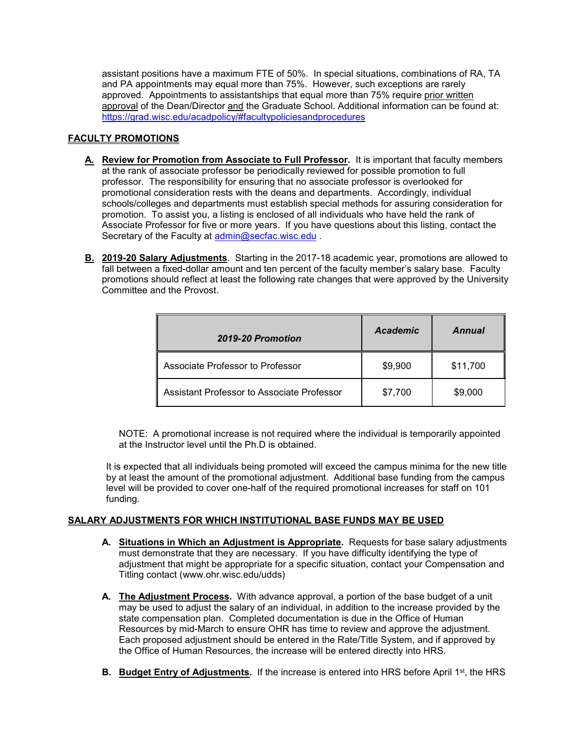assistant positions have a maximum FTE of 50%. In special situations, combinations of RA, TA and PA appointments may equal more than 75%. However, such exceptions are rarely approved. Appointments to assistantships that equal more than 75% require prior written approval of the Dean/Director and the Graduate School. Additional information can be found at: <https://grad.wisc.edu/acadpolicy/#facultypoliciesandprocedures>

## **FACULTY PROMOTIONS**

- **A. Review for Promotion from Associate to Full Professor.** It is important that faculty members at the rank of associate professor be periodically reviewed for possible promotion to full professor. The responsibility for ensuring that no associate professor is overlooked for promotional consideration rests with the deans and departments. Accordingly, individual schools/colleges and departments must establish special methods for assuring consideration for promotion. To assist you, a listing is enclosed of all individuals who have held the rank of Associate Professor for five or more years. If you have questions about this listing, contact the Secretary of the Faculty at [admin@secfac.wisc.edu](mailto:admin@secfac.wisc.edu)
- **B. 2019-20 Salary Adjustments**. Starting in the 2017-18 academic year, promotions are allowed to fall between a fixed-dollar amount and ten percent of the faculty member's salary base. Faculty promotions should reflect at least the following rate changes that were approved by the University Committee and the Provost.

| 2019-20 Promotion                          | <b>Academic</b> | Annual   |
|--------------------------------------------|-----------------|----------|
| Associate Professor to Professor           | \$9,900         | \$11,700 |
| Assistant Professor to Associate Professor | \$7,700         | \$9,000  |

NOTE: A promotional increase is not required where the individual is temporarily appointed at the Instructor level until the Ph.D is obtained.

It is expected that all individuals being promoted will exceed the campus minima for the new title by at least the amount of the promotional adjustment. Additional base funding from the campus level will be provided to cover one-half of the required promotional increases for staff on 101 funding.

## **SALARY ADJUSTMENTS FOR WHICH INSTITUTIONAL BASE FUNDS MAY BE USED**

- **A. Situations in Which an Adjustment is Appropriate.** Requests for base salary adjustments must demonstrate that they are necessary. If you have difficulty identifying the type of adjustment that might be appropriate for a specific situation, contact your Compensation and Titling contact (www.ohr.wisc.edu/udds)
- **A. The Adjustment Process.** With advance approval, a portion of the base budget of a unit may be used to adjust the salary of an individual, in addition to the increase provided by the state compensation plan. Completed documentation is due in the Office of Human Resources by mid-March to ensure OHR has time to review and approve the adjustment. Each proposed adjustment should be entered in the Rate/Title System, and if approved by the Office of Human Resources, the increase will be entered directly into HRS.
- **B.** Budget Entry of Adjustments. If the increase is entered into HRS before April 1<sup>st</sup>, the HRS